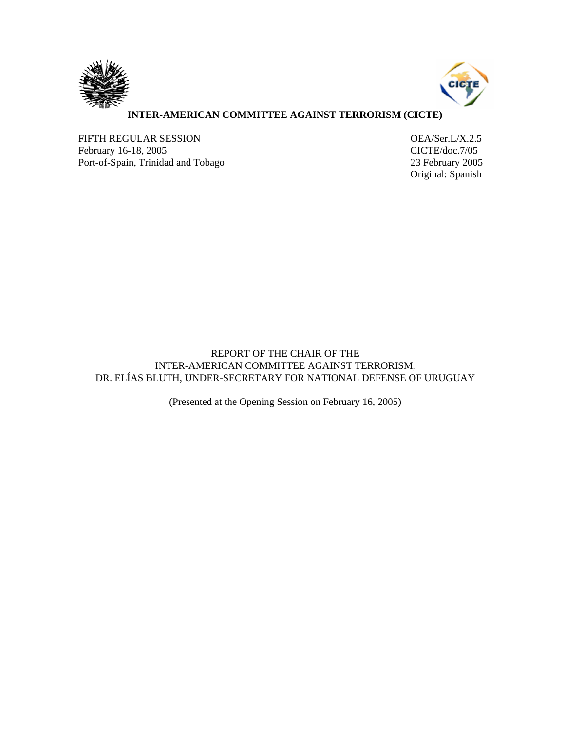



## **INTER-AMERICAN COMMITTEE AGAINST TERRORISM (CICTE)**

FIFTH REGULAR SESSION OEA/Ser.L/X.2.5 February 16-18, 2005 CICTE/doc.7/05 Port-of-Spain, Trinidad and Tobago 23 February 2005

Original: Spanish

REPORT OF THE CHAIR OF THE INTER-AMERICAN COMMITTEE AGAINST TERRORISM, DR. ELÍAS BLUTH, UNDER-SECRETARY FOR NATIONAL DEFENSE OF URUGUAY

(Presented at the Opening Session on February 16, 2005)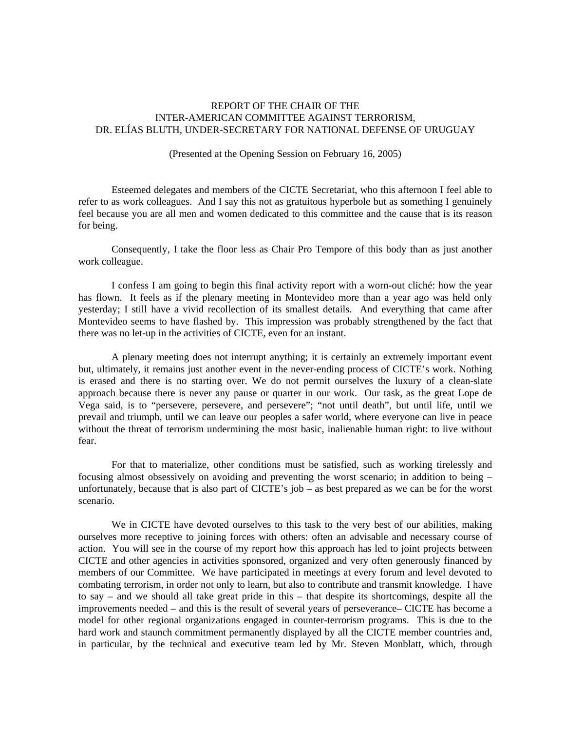## REPORT OF THE CHAIR OF THE INTER-AMERICAN COMMITTEE AGAINST TERRORISM, DR. ELÍAS BLUTH, UNDER-SECRETARY FOR NATIONAL DEFENSE OF URUGUAY

## (Presented at the Opening Session on February 16, 2005)

 Esteemed delegates and members of the CICTE Secretariat, who this afternoon I feel able to refer to as work colleagues. And I say this not as gratuitous hyperbole but as something I genuinely feel because you are all men and women dedicated to this committee and the cause that is its reason for being.

 Consequently, I take the floor less as Chair Pro Tempore of this body than as just another work colleague.

 I confess I am going to begin this final activity report with a worn-out cliché: how the year has flown. It feels as if the plenary meeting in Montevideo more than a year ago was held only yesterday; I still have a vivid recollection of its smallest details. And everything that came after Montevideo seems to have flashed by. This impression was probably strengthened by the fact that there was no let-up in the activities of CICTE, even for an instant.

 A plenary meeting does not interrupt anything; it is certainly an extremely important event but, ultimately, it remains just another event in the never-ending process of CICTE's work. Nothing is erased and there is no starting over. We do not permit ourselves the luxury of a clean-slate approach because there is never any pause or quarter in our work. Our task, as the great Lope de Vega said, is to "persevere, persevere, and persevere"; "not until death", but until life, until we prevail and triumph, until we can leave our peoples a safer world, where everyone can live in peace without the threat of terrorism undermining the most basic, inalienable human right: to live without fear.

 For that to materialize, other conditions must be satisfied, such as working tirelessly and focusing almost obsessively on avoiding and preventing the worst scenario; in addition to being – unfortunately, because that is also part of CICTE's job – as best prepared as we can be for the worst scenario.

We in CICTE have devoted ourselves to this task to the very best of our abilities, making ourselves more receptive to joining forces with others: often an advisable and necessary course of action. You will see in the course of my report how this approach has led to joint projects between CICTE and other agencies in activities sponsored, organized and very often generously financed by members of our Committee. We have participated in meetings at every forum and level devoted to combating terrorism, in order not only to learn, but also to contribute and transmit knowledge. I have to say – and we should all take great pride in this – that despite its shortcomings, despite all the improvements needed – and this is the result of several years of perseverance– CICTE has become a model for other regional organizations engaged in counter-terrorism programs. This is due to the hard work and staunch commitment permanently displayed by all the CICTE member countries and, in particular, by the technical and executive team led by Mr. Steven Monblatt, which, through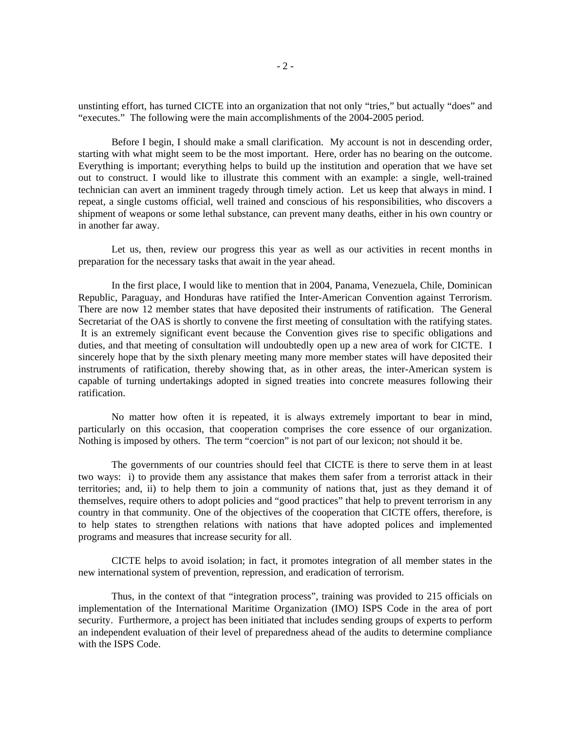unstinting effort, has turned CICTE into an organization that not only "tries," but actually "does" and "executes." The following were the main accomplishments of the 2004-2005 period.

 Before I begin, I should make a small clarification. My account is not in descending order, starting with what might seem to be the most important. Here, order has no bearing on the outcome. Everything is important; everything helps to build up the institution and operation that we have set out to construct. I would like to illustrate this comment with an example: a single, well-trained technician can avert an imminent tragedy through timely action. Let us keep that always in mind. I repeat, a single customs official, well trained and conscious of his responsibilities, who discovers a shipment of weapons or some lethal substance, can prevent many deaths, either in his own country or in another far away.

Let us, then, review our progress this year as well as our activities in recent months in preparation for the necessary tasks that await in the year ahead.

 In the first place, I would like to mention that in 2004, Panama, Venezuela, Chile, Dominican Republic, Paraguay, and Honduras have ratified the Inter-American Convention against Terrorism. There are now 12 member states that have deposited their instruments of ratification. The General Secretariat of the OAS is shortly to convene the first meeting of consultation with the ratifying states. It is an extremely significant event because the Convention gives rise to specific obligations and duties, and that meeting of consultation will undoubtedly open up a new area of work for CICTE. I sincerely hope that by the sixth plenary meeting many more member states will have deposited their instruments of ratification, thereby showing that, as in other areas, the inter-American system is capable of turning undertakings adopted in signed treaties into concrete measures following their ratification.

 No matter how often it is repeated, it is always extremely important to bear in mind, particularly on this occasion, that cooperation comprises the core essence of our organization. Nothing is imposed by others. The term "coercion" is not part of our lexicon; not should it be.

 The governments of our countries should feel that CICTE is there to serve them in at least two ways: i) to provide them any assistance that makes them safer from a terrorist attack in their territories; and, ii) to help them to join a community of nations that, just as they demand it of themselves, require others to adopt policies and "good practices" that help to prevent terrorism in any country in that community. One of the objectives of the cooperation that CICTE offers, therefore, is to help states to strengthen relations with nations that have adopted polices and implemented programs and measures that increase security for all.

 CICTE helps to avoid isolation; in fact, it promotes integration of all member states in the new international system of prevention, repression, and eradication of terrorism.

 Thus, in the context of that "integration process", training was provided to 215 officials on implementation of the International Maritime Organization (IMO) ISPS Code in the area of port security. Furthermore, a project has been initiated that includes sending groups of experts to perform an independent evaluation of their level of preparedness ahead of the audits to determine compliance with the ISPS Code.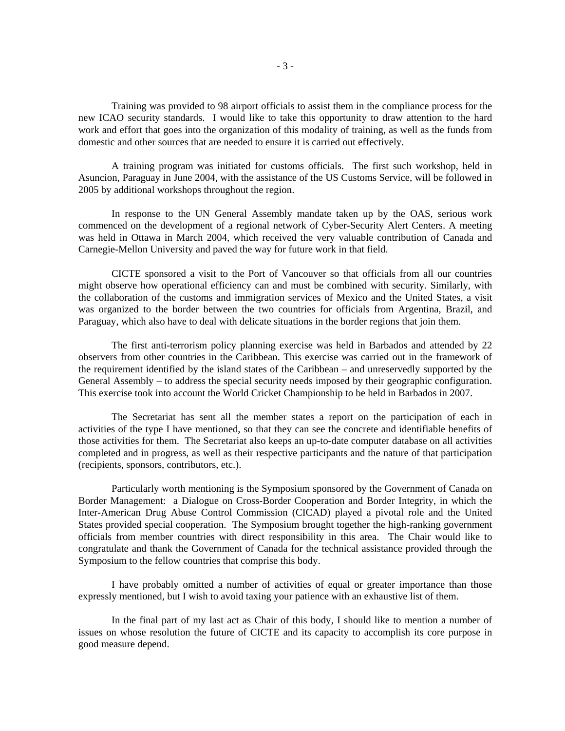Training was provided to 98 airport officials to assist them in the compliance process for the new ICAO security standards. I would like to take this opportunity to draw attention to the hard work and effort that goes into the organization of this modality of training, as well as the funds from domestic and other sources that are needed to ensure it is carried out effectively.

 A training program was initiated for customs officials. The first such workshop, held in Asuncion, Paraguay in June 2004, with the assistance of the US Customs Service, will be followed in 2005 by additional workshops throughout the region.

 In response to the UN General Assembly mandate taken up by the OAS, serious work commenced on the development of a regional network of Cyber-Security Alert Centers. A meeting was held in Ottawa in March 2004, which received the very valuable contribution of Canada and Carnegie-Mellon University and paved the way for future work in that field.

 CICTE sponsored a visit to the Port of Vancouver so that officials from all our countries might observe how operational efficiency can and must be combined with security. Similarly, with the collaboration of the customs and immigration services of Mexico and the United States, a visit was organized to the border between the two countries for officials from Argentina, Brazil, and Paraguay, which also have to deal with delicate situations in the border regions that join them.

 The first anti-terrorism policy planning exercise was held in Barbados and attended by 22 observers from other countries in the Caribbean. This exercise was carried out in the framework of the requirement identified by the island states of the Caribbean – and unreservedly supported by the General Assembly – to address the special security needs imposed by their geographic configuration. This exercise took into account the World Cricket Championship to be held in Barbados in 2007.

 The Secretariat has sent all the member states a report on the participation of each in activities of the type I have mentioned, so that they can see the concrete and identifiable benefits of those activities for them. The Secretariat also keeps an up-to-date computer database on all activities completed and in progress, as well as their respective participants and the nature of that participation (recipients, sponsors, contributors, etc.).

 Particularly worth mentioning is the Symposium sponsored by the Government of Canada on Border Management: a Dialogue on Cross-Border Cooperation and Border Integrity, in which the Inter-American Drug Abuse Control Commission (CICAD) played a pivotal role and the United States provided special cooperation. The Symposium brought together the high-ranking government officials from member countries with direct responsibility in this area. The Chair would like to congratulate and thank the Government of Canada for the technical assistance provided through the Symposium to the fellow countries that comprise this body.

 I have probably omitted a number of activities of equal or greater importance than those expressly mentioned, but I wish to avoid taxing your patience with an exhaustive list of them.

 In the final part of my last act as Chair of this body, I should like to mention a number of issues on whose resolution the future of CICTE and its capacity to accomplish its core purpose in good measure depend.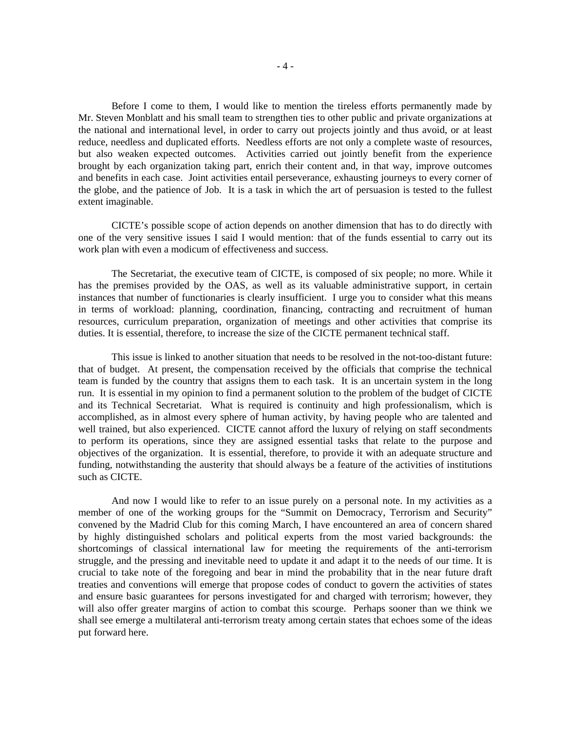Before I come to them, I would like to mention the tireless efforts permanently made by Mr. Steven Monblatt and his small team to strengthen ties to other public and private organizations at the national and international level, in order to carry out projects jointly and thus avoid, or at least reduce, needless and duplicated efforts. Needless efforts are not only a complete waste of resources, but also weaken expected outcomes. Activities carried out jointly benefit from the experience brought by each organization taking part, enrich their content and, in that way, improve outcomes and benefits in each case. Joint activities entail perseverance, exhausting journeys to every corner of the globe, and the patience of Job. It is a task in which the art of persuasion is tested to the fullest extent imaginable.

 CICTE's possible scope of action depends on another dimension that has to do directly with one of the very sensitive issues I said I would mention: that of the funds essential to carry out its work plan with even a modicum of effectiveness and success.

 The Secretariat, the executive team of CICTE, is composed of six people; no more. While it has the premises provided by the OAS, as well as its valuable administrative support, in certain instances that number of functionaries is clearly insufficient. I urge you to consider what this means in terms of workload: planning, coordination, financing, contracting and recruitment of human resources, curriculum preparation, organization of meetings and other activities that comprise its duties. It is essential, therefore, to increase the size of the CICTE permanent technical staff.

 This issue is linked to another situation that needs to be resolved in the not-too-distant future: that of budget. At present, the compensation received by the officials that comprise the technical team is funded by the country that assigns them to each task. It is an uncertain system in the long run. It is essential in my opinion to find a permanent solution to the problem of the budget of CICTE and its Technical Secretariat. What is required is continuity and high professionalism, which is accomplished, as in almost every sphere of human activity, by having people who are talented and well trained, but also experienced. CICTE cannot afford the luxury of relying on staff secondments to perform its operations, since they are assigned essential tasks that relate to the purpose and objectives of the organization. It is essential, therefore, to provide it with an adequate structure and funding, notwithstanding the austerity that should always be a feature of the activities of institutions such as CICTE.

 And now I would like to refer to an issue purely on a personal note. In my activities as a member of one of the working groups for the "Summit on Democracy, Terrorism and Security" convened by the Madrid Club for this coming March, I have encountered an area of concern shared by highly distinguished scholars and political experts from the most varied backgrounds: the shortcomings of classical international law for meeting the requirements of the anti-terrorism struggle, and the pressing and inevitable need to update it and adapt it to the needs of our time. It is crucial to take note of the foregoing and bear in mind the probability that in the near future draft treaties and conventions will emerge that propose codes of conduct to govern the activities of states and ensure basic guarantees for persons investigated for and charged with terrorism; however, they will also offer greater margins of action to combat this scourge. Perhaps sooner than we think we shall see emerge a multilateral anti-terrorism treaty among certain states that echoes some of the ideas put forward here.